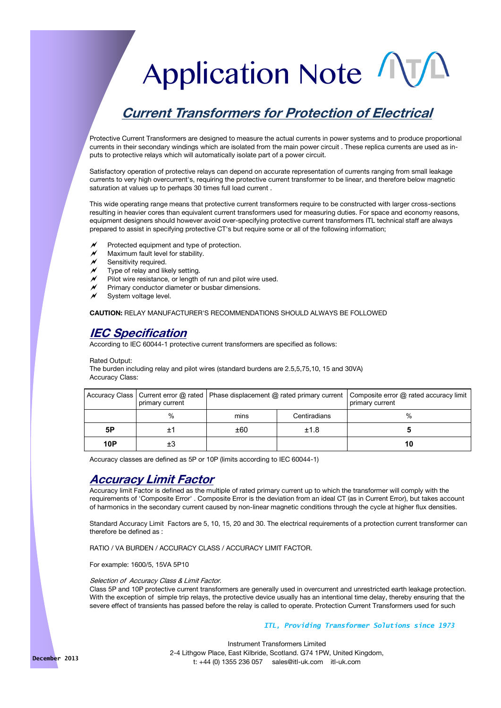# Application Note

# **Current Transformers for Protection of Electrical**

Protective Current Transformers are designed to measure the actual currents in power systems and to produce proportional currents in their secondary windings which are isolated from the main power circuit . These replica currents are used as inputs to protective relays which will automatically isolate part of a power circuit.

Satisfactory operation of protective relays can depend on accurate representation of currents ranging from small leakage currents to very high overcurrent's, requiring the protective current transformer to be linear, and therefore below magnetic saturation at values up to perhaps 30 times full load current .

This wide operating range means that protective current transformers require to be constructed with larger cross-sections resulting in heavier cores than equivalent current transformers used for measuring duties. For space and economy reasons, equipment designers should however avoid over-specifying protective current transformers ITL technical staff are always prepared to assist in specifying protective CT's but require some or all of the following information;

- Protected equipment and type of protection.
- $M$  Maximum fault level for stability.
- Sensitivity required.
- Type of relay and likely setting.
- Pilot wire resistance, or length of run and pilot wire used.
- Primary conductor diameter or busbar dimensions.
- System voltage level.

**CAUTION:** RELAY MANUFACTURER'S RECOMMENDATIONS SHOULD ALWAYS BE FOLLOWED

#### **IEC Specification**

According to IEC 60044-1 protective current transformers are specified as follows:

#### Rated Output:

The burden including relay and pilot wires (standard burdens are 2.5,5,75,10, 15 and 30VA) Accuracy Class:

|            | primary current | Accuracy Class   Current error @ rated   Phase displacement @ rated primary current   Composite error @ rated accuracy limit |              | primary current |
|------------|-----------------|------------------------------------------------------------------------------------------------------------------------------|--------------|-----------------|
|            | $\%$            | mins                                                                                                                         | Centiradians | %               |
| 5Ρ         |                 | ±60                                                                                                                          | ±1.8         |                 |
| <b>10P</b> | ±З              |                                                                                                                              |              | 10              |

Accuracy classes are defined as 5P or 10P (limits according to IEC 60044-1)

#### **Accuracy Limit Factor**

Accuracy limit Factor is defined as the multiple of rated primary current up to which the transformer will comply with the requirements of 'Composite Error' . Composite Error is the deviation from an ideal CT (as in Current Error), but takes account of harmonics in the secondary current caused by non-linear magnetic conditions through the cycle at higher flux densities.

Standard Accuracy Limit Factors are 5, 10, 15, 20 and 30. The electrical requirements of a protection current transformer can therefore be defined as :

RATIO / VA BURDEN / ACCURACY CLASS / ACCURACY LIMIT FACTOR.

For example: 1600/5, 15VA 5P10

#### Selection of Accuracy Class & Limit Factor.

Class 5P and 10P protective current transformers are generally used in overcurrent and unrestricted earth leakage protection. With the exception of simple trip relays, the protective device usually has an intentional time delay, thereby ensuring that the severe effect of transients has passed before the relay is called to operate. Protection Current Transformers used for such

#### *ITL, Providing Transformer Solutions since 1973*

Instrument Transformers Limited 2-4 Lithgow Place, East Kilbride, Scotland. G74 1PW, United Kingdom, t: +44 (0) 1355 236 057 sales@itl-uk.com itl-uk.com **December 2013**

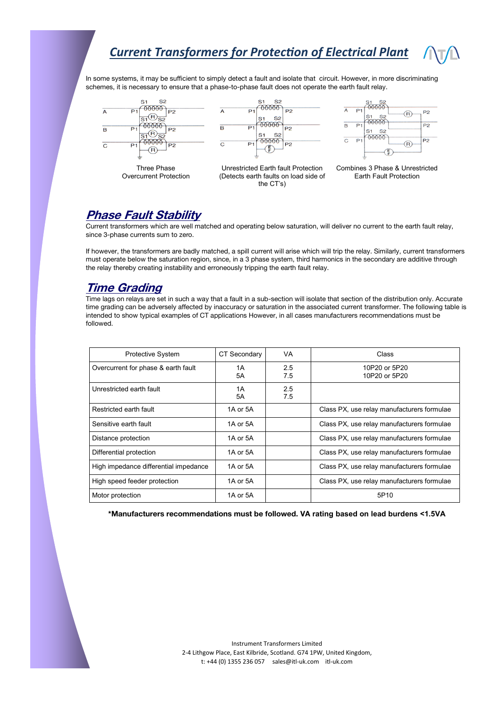In some systems, it may be sufficient to simply detect a fault and isolate that circuit. However, in more discriminating schemes, it is necessary to ensure that a phase-to-phase fault does not operate the earth fault relay.



Three Phase Overcurrent Protection







Combines 3 Phase & Unrestricted Earth Fault Protection

#### **Phase Fault Stability**

Current transformers which are well matched and operating below saturation, will deliver no current to the earth fault relay, since 3-phase currents sum to zero.

If however, the transformers are badly matched, a spill current will arise which will trip the relay. Similarly, current transformers must operate below the saturation region, since, in a 3 phase system, third harmonics in the secondary are additive through the relay thereby creating instability and erroneously tripping the earth fault relay.

#### **Time Grading**

Time lags on relays are set in such a way that a fault in a sub-section will isolate that section of the distribution only. Accurate time grading can be adversely affected by inaccuracy or saturation in the associated current transformer. The following table is intended to show typical examples of CT applications However, in all cases manufacturers recommendations must be followed.

| <b>Protective System</b>              | CT Secondary | VA         | Class                                      |
|---------------------------------------|--------------|------------|--------------------------------------------|
| Overcurrent for phase & earth fault   | 1A<br>5A     | 2.5<br>7.5 | 10P20 or 5P20<br>10P20 or 5P20             |
| Unrestricted earth fault              | 1A<br>5A     | 2.5<br>7.5 |                                            |
| Restricted earth fault                | 1A or 5A     |            | Class PX, use relay manufacturers formulae |
| Sensitive earth fault                 | 1A or 5A     |            | Class PX, use relay manufacturers formulae |
| Distance protection                   | 1A or 5A     |            | Class PX, use relay manufacturers formulae |
| Differential protection               | 1A or 5A     |            | Class PX, use relay manufacturers formulae |
| High impedance differential impedance | 1A or 5A     |            | Class PX, use relay manufacturers formulae |
| High speed feeder protection          | 1A or 5A     |            | Class PX, use relay manufacturers formulae |
| Motor protection                      | 1A or 5A     |            | 5P10                                       |

**\*Manufacturers recommendations must be followed. VA rating based on lead burdens <1.5VA**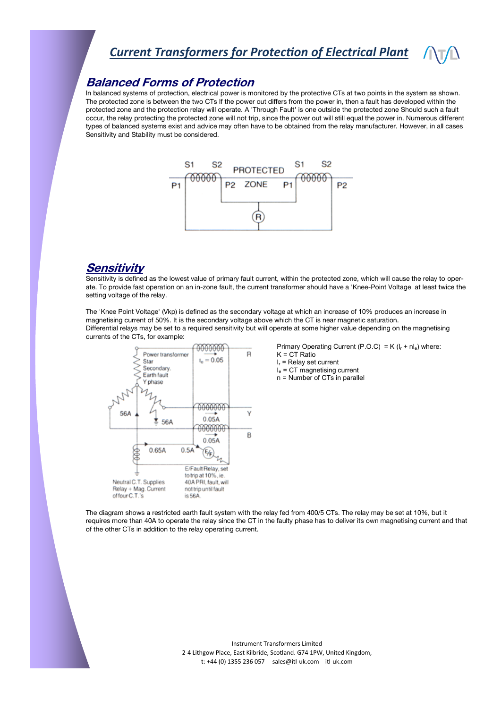#### **Balanced Forms of Protection**

In balanced systems of protection, electrical power is monitored by the protective CTs at two points in the system as shown. The protected zone is between the two CTs If the power out differs from the power in, then a fault has developed within the protected zone and the protection relay will operate. A 'Through Fault' is one outside the protected zone Should such a fault occur, the relay protecting the protected zone will not trip, since the power out will still equal the power in. Numerous different types of balanced systems exist and advice may often have to be obtained from the relay manufacturer. However, in all cases Sensitivity and Stability must be considered.



#### **Sensitivity**

Sensitivity is defined as the lowest value of primary fault current, within the protected zone, which will cause the relay to operate. To provide fast operation on an in-zone fault, the current transformer should have a 'Knee-Point Voltage' at least twice the setting voltage of the relay.

The 'Knee Point Voltage' (Vkp) is defined as the secondary voltage at which an increase of 10% produces an increase in magnetising current of 50%. It is the secondary voltage above which the CT is near magnetic saturation. Differential relays may be set to a required sensitivity but will operate at some higher value depending on the magnetising currents of the CTs, for example:



Primary Operating Current (P.O.C) = K ( $I_r$  + nl<sub>e</sub>) where:  $K = CT$  Ratio  $I_r$  = Relay set current

- $I<sub>e</sub>$  = CT magnetising current
- n = Number of CTs in parallel

The diagram shows a restricted earth fault system with the relay fed from 400/5 CTs. The relay may be set at 10%, but it requires more than 40A to operate the relay since the CT in the faulty phase has to deliver its own magnetising current and that of the other CTs in addition to the relay operating current.

> Instrument Transformers Limited 2-4 Lithgow Place, East Kilbride, Scotland. G74 1PW, United Kingdom, t: +44 (0) 1355 236 057 sales@itl-uk.com itl-uk.com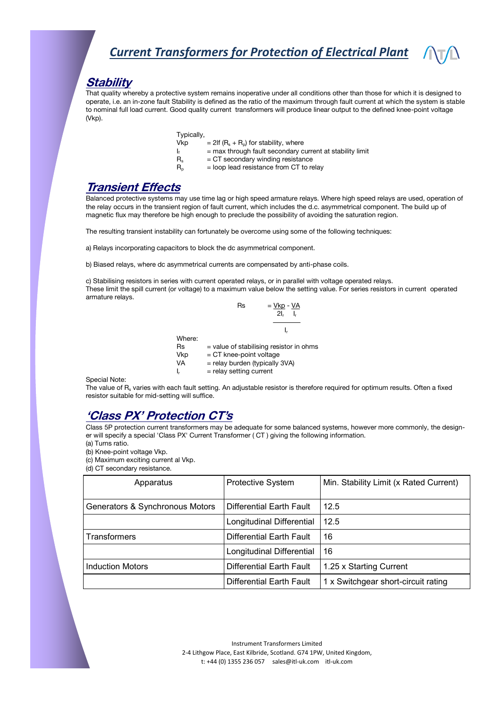#### **Stability**

That quality whereby a protective system remains inoperative under all conditions other than those for which it is designed to operate, i.e. an in-zone fault Stability is defined as the ratio of the maximum through fault current at which the system is stable to nominal full load current. Good quality current transformers will produce linear output to the defined knee-point voltage (Vkp).

| Typically, |  |
|------------|--|
|            |  |

- Vkp  $= 2$ lf  $(R_s + R_p)$  for stability, where
- $I_f$  = max through fault secondary current at stability limit
- $R_s$  = CT secondary winding resistance
- $R<sub>p</sub>$  = loop lead resistance from CT to relay

#### **Transient Effects**

Balanced protective systems may use time lag or high speed armature relays. Where high speed relays are used, operation of the relay occurs in the transient region of fault current, which includes the d.c. asymmetrical component. The build up of magnetic flux may therefore be high enough to preclude the possibility of avoiding the saturation region.

The resulting transient instability can fortunately be overcome using some of the following techniques:

a) Relays incorporating capacitors to block the dc asymmetrical component.

b) Biased relays, where dc asymmetrical currents are compensated by anti-phase coils.

c) Stabilising resistors in series with current operated relays, or in parallel with voltage operated relays. These limit the spill current (or voltage) to a maximum value below the setting value. For series resistors in current operated armature relays.

 $Rs = Vkp - VA$  $2I_r - I_r$  I<sup>r</sup> Where:  $Rs = value of stabilising resistor in ohms$  $Vkp = CT$  knee-point voltage  $VA =$  relay burden (typically 3VA)  $I_r$  = relay setting current

Special Note:

The value of R<sub>s</sub> varies with each fault setting. An adjustable resistor is therefore required for optimum results. Often a fixed resistor suitable for mid-setting will suffice.

#### **'Class PX' Protection CT's**

Class 5P protection current transformers may be adequate for some balanced systems, however more commonly, the designer will specify a special 'Class PX' Current Transformer ( CT ) giving the following information.

(a) Turns ratio.

(b) Knee-point voltage Vkp.

(c) Maximum exciting current al Vkp.

(d) CT secondary resistance.

| Apparatus                       | <b>Protective System</b>  | Min. Stability Limit (x Rated Current) |
|---------------------------------|---------------------------|----------------------------------------|
| Generators & Synchronous Motors | Differential Earth Fault  | 12.5                                   |
|                                 | Longitudinal Differential | 12.5                                   |
| <b>Transformers</b>             | Differential Earth Fault  | 16                                     |
|                                 | Longitudinal Differential | 16                                     |
| Induction Motors                | Differential Earth Fault  | 1.25 x Starting Current                |
|                                 | Differential Earth Fault  | 1 x Switchgear short-circuit rating    |